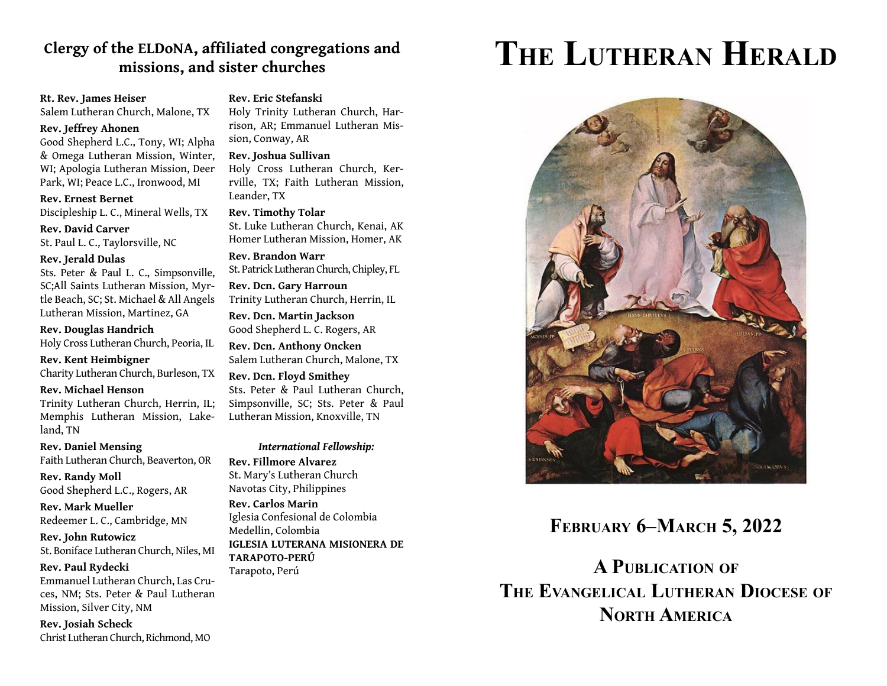### Clergy of the ELDoNA, affiliated congregations and **missions, and sister churches**

### **Rt. Rev. James Heiser**

Salem Lutheran Church, Malone, TX

### **Rev. Jeffrey Ahonen**

Good Shepherd L.C., Tony, WI; Alpha & Omega Lutheran Mission, Winter, WI; Apologia Lutheran Mission, Deer Park, WI; Peace L.C., Ironwood, MI

#### **Rev. Ernest Bernet**

Discipleship L. C., Mineral Wells, TX

**Rev. David Carver** St. Paul L. C., Taylorsville, NC

#### **Rev. Jerald Dulas**

Sts. Peter & Paul L. C., Simpsonville, SC;All Saints Lutheran Mission, Myrtle Beach, SC; St. Michael & All Angels Lutheran Mission, Martinez, GA

**Rev. Douglas Handrich**

Holy Cross Lutheran Church, Peoria, IL

**Rev. Kent Heimbigner** Charity Lutheran Church, Burleson, TX

**Rev. Michael Henson**

Trinity Lutheran Church, Herrin, IL; Memphis Lutheran Mission, Lakeland, TN

**Rev. Daniel Mensing** Faith Lutheran Church, Beaverton, OR

**Rev. Randy Moll** Good Shepherd L.C., Rogers, AR

**Rev. Mark Mueller**Redeemer L. C., Cambridge, MN

**Rev. John Rutowicz** St. Boniface Lutheran Church, Niles, MI

#### **Rev. Paul Rydecki**

Emmanuel Lutheran Church, Las Cruces, NM; Sts. Peter & Paul Lutheran Mission, Silver City, NM

**Rev. Josiah Scheck** Christ Lutheran Church, Richmond, MO

### **Rev. Eric Stefanski**

Holy Trinity Lutheran Church, Harrison, AR; Emmanuel Lutheran Mission, Conway, AR

#### **Rev. Joshua Sullivan**

Holy Cross Lutheran Church, Kerrville, TX; Faith Lutheran Mission, Leander, TX

**Rev. Timothy Tolar**

St. Luke Lutheran Church, Kenai, AK Homer Lutheran Mission, Homer, AK

**Rev. Brandon Warr**St. Patrick Lutheran Church, Chipley, FL

**Rev. Dcn. Gary Harroun** Trinity Lutheran Church, Herrin, IL

**Rev. Dcn. Martin Jackson** Good Shepherd L. C. Rogers, AR

**Rev. Dcn. Anthony Oncken** Salem Lutheran Church, Malone, TX

**Rev. Dcn. Floyd Smithey** Sts. Peter & Paul Lutheran Church, Simpsonville, SC; Sts. Peter & Paul Lutheran Mission, Knoxville, TN

### *International Fellowship:* **Rev. Fillmore Alvarez**St. Mary's Lutheran Church Navotas City, Philippines **Rev. Carlos Marin**Iglesia Confesional de Colombia

Medellin, Colombia **IGLESIA LUTERANA MISIONERA DE TARAPOTO-PERÚ**

Tarapoto, Perú

# **THE LUTHERAN HERALD**



### **FEBRUARY 6–MARCH 5, 2022**

**A PUBLICATION OF THE EVANGELICAL LUTHERAN DIOCESE OF NORTH AMERICA**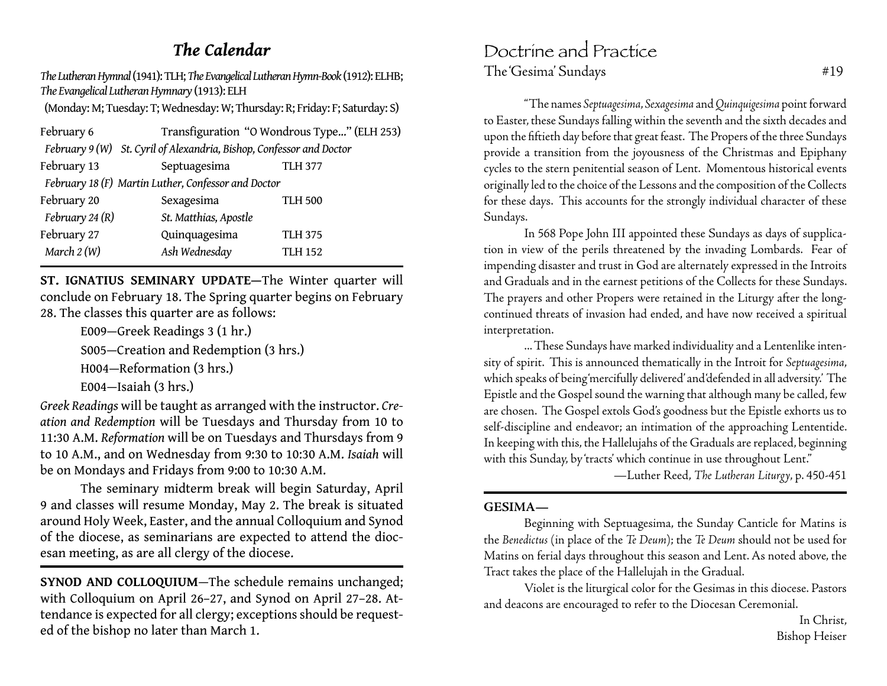### *The Calendar*

*The Lutheran Hymnal* (1941): TLH; *The Evangelical Lutheran Hymn-Book* (1912): ELHB; *The Evangelical Lutheran Hymnary* (1913): ELH

(Monday: M; Tuesday: T; Wednesday: W; Thursday: R; Friday: F; Saturday: S)

| February 6        |                                                                      | Transfiguration "O Wondrous Type" (ELH 253) |  |
|-------------------|----------------------------------------------------------------------|---------------------------------------------|--|
|                   | February 9 (W) St. Cyril of Alexandria, Bishop, Confessor and Doctor |                                             |  |
| February 13       | Septuagesima                                                         | <b>TLH 377</b>                              |  |
|                   | February 18 (F) Martin Luther, Confessor and Doctor                  |                                             |  |
| February 20       | Sexagesima                                                           | <b>TLH 500</b>                              |  |
| February 24 $(R)$ | St. Matthias, Apostle                                                |                                             |  |
| February 27       | Quinquagesima                                                        | <b>TLH 375</b>                              |  |
| March $2(W)$      | Ash Wednesday                                                        | <b>TLH 152</b>                              |  |

**ST. IGNATIUS SEMINARY UPDATE—**The Winter quarter will conclude on February 18. The Spring quarter begins on February 28. The classes this quarter are as follows:

> E009—Greek Readings 3 (1 hr.) S005—Creation and Redemption (3 hrs.) H004—Reformation (3 hrs.) E004—Isaiah (3 hrs.)

*Greek Readings* will be taught as arranged with the instructor. *Creation and Redemption* will be Tuesdays and Thursday from 10 to 11:30 A.M. *Reformation* will be on Tuesdays and Thursdays from 9 to 10 A.M., and on Wednesday from 9:30 to 10:30 A.M. *Isaiah* will be on Mondays and Fridays from 9:00 to 10:30 A.M.

 The seminary midterm break will begin Saturday, April 9 and classes will resume Monday, May 2. The break is situated around Holy Week, Easter, and the annual Colloquium and Synod of the diocese, as seminarians are expected to attend the diocesan meeting, as are all clergy of the diocese.

**SYNOD AND COLLOQUIUM**—The schedule remains unchanged; with Colloquium on April 26–27, and Synod on April 27–28. Attendance is expected for all clergy; exceptions should be requested of the bishop no later than March 1.

### Doctrine and Practice The 'Gesima' Sundays #19

 "The names *Septuagesima*, *Sexagesima* and *Quinquigesima* point forward to Easter, these Sundays falling within the seventh and the sixth decades and upon the fiftieth day before that great feast. The Propers of the three Sundays provide a transition from the joyousness of the Christmas and Epiphany cycles to the stern penitential season of Lent. Momentous historical events originally led to the choice of the Lessons and the composition of the Collects for these days. This accounts for the strongly individual character of these Sundays.

 In 568 Pope John III appointed these Sundays as days of supplication in view of the perils threatened by the invading Lombards. Fear of impending disaster and trust in God are alternately expressed in the Introits and Graduals and in the earnest petitions of the Collects for these Sundays. The prayers and other Propers were retained in the Liturgy after the longcontinued threats of invasion had ended, and have now received a spiritual interpretation.

 ... These Sundays have marked individuality and a Lentenlike intensity of spirit. This is announced thematically in the Introit for *Septuagesima*, which speaks of being 'mercifully delivered' and 'defended in all adversity.' The Epistle and the Gospel sound the warning that although many be called, few are chosen. The Gospel extols God's goodness but the Epistle exhorts us to self-discipline and endeavor; an intimation of the approaching Lententide. In keeping with this, the Hallelujahs of the Graduals are replaced, beginning with this Sunday, by 'tracts' which continue in use throughout Lent."

—Luther Reed, *The Lutheran Liturgy*, p. 450-451

### **GESIMA—**

 Beginning with Septuagesima, the Sunday Canticle for Matins is the *Benedictus* (in place of the *Te Deum*); the *Te Deum* should not be used for Matins on ferial days throughout this season and Lent. As noted above, the Tract takes the place of the Hallelujah in the Gradual.

 Violet is the liturgical color for the Gesimas in this diocese. Pastors and deacons are encouraged to refer to the Diocesan Ceremonial.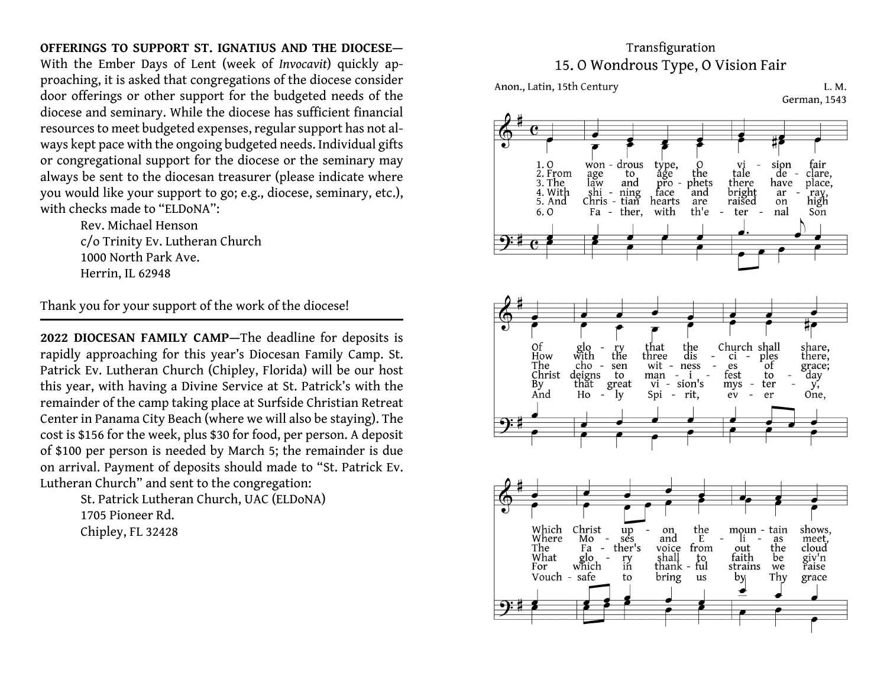### **OFFERINGS TO SUPPORT ST. IGNATIUS AND THE DIOCESE—**

With the Ember Days of Lent (week of *Invocavit*) quickly approaching, it is asked that congregations of the diocese consider door offerings or other support for the budgeted needs of the diocese and seminary. While the diocese has sufficient financial resources to meet budgeted expenses, regular support has not always kept pace with the ongoing budgeted needs. Individual gifts or congregational support for the diocese or the seminary may always be sent to the diocesan treasurer (please indicate where you would like your support to go; e.g., diocese, seminary, etc.), with checks made to "ELDoNA":

> Rev. Michael Henson c/o Trinity Ev. Lutheran Church 1000 North Park Ave. Herrin, IL 62948

Thank you for your support of the work of the diocese!

**2022 DIOCESAN FAMILY CAMP—**The deadline for deposits is rapidly approaching for this year's Diocesan Family Camp. St. Patrick Ev. Lutheran Church (Chipley, Florida) will be our host this year, with having a Divine Service at St. Patrick's with the remainder of the camp taking place at Surfside Christian Retreat Center in Panama City Beach (where we will also be staying). The cost is \$156 for the week, plus \$30 for food, per person. A deposit of \$100 per person is needed by March 5; the remainder is due on arrival. Payment of deposits should made to "St. Patrick Ev. Lutheran Church" and sent to the congregation:

> St. Patrick Lutheran Church, UAC (ELDoNA) 1705 Pioneer Rd.Chipley, FL 32428

### Transfiguration 15.0 Wondrous Type, O Vision Fair





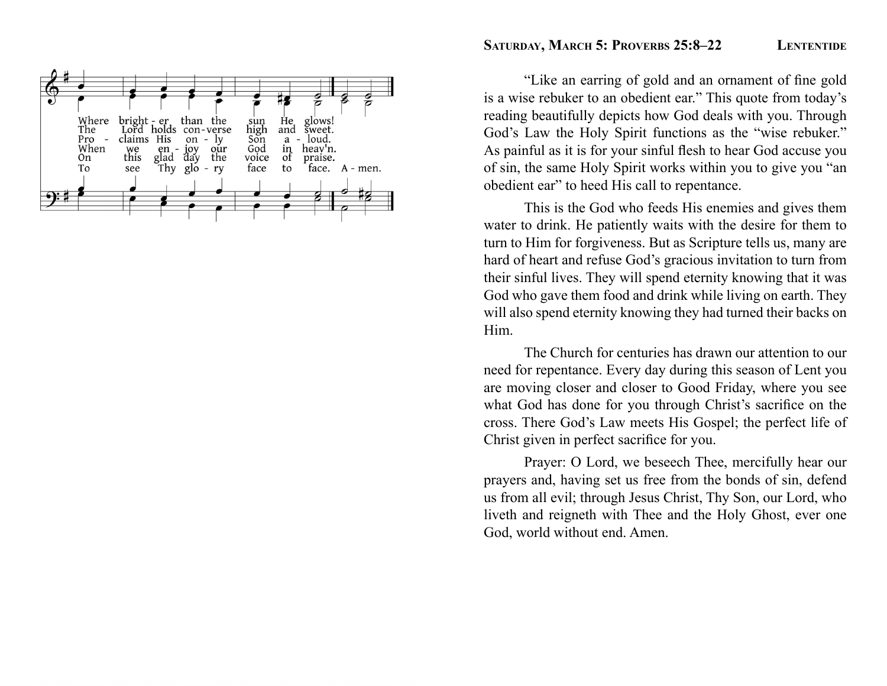

### SATURDAY, MARCH 5: PROVERBS 25:8-22 **LENTENTIDE**

"Like an earring of gold and an ornament of fine gold is a wise rebuker to an obedient ear." This quote from today's reading beautifully depicts how God deals with you. Through God's Law the Holy Spirit functions as the "wise rebuker." As painful as it is for your sinful flesh to hear God accuse you of sin, the same Holy Spirit works within you to give you "an obedient ear" to heed His call to repentance.

 This is the God who feeds His enemies and gives them water to drink. He patiently waits with the desire for them to turn to Him for forgiveness. But as Scripture tells us, many are hard of heart and refuse God's gracious invitation to turn from their sinful lives. They will spend eternity knowing that it was God who gave them food and drink while living on earth. They will also spend eternity knowing they had turned their backs on Him.

 The Church for centuries has drawn our attention to our need for repentance. Every day during this season of Lent you are moving closer and closer to Good Friday, where you see what God has done for you through Christ's sacrifice on the cross. There God's Law meets His Gospel; the perfect life of Christ given in perfect sacrifice for you.

 Prayer: O Lord, we beseech Thee, mercifully hear our prayers and, having set us free from the bonds of sin, defend us from all evil; through Jesus Christ, Thy Son, our Lord, who liveth and reigneth with Thee and the Holy Ghost, ever one God, world without end. Amen.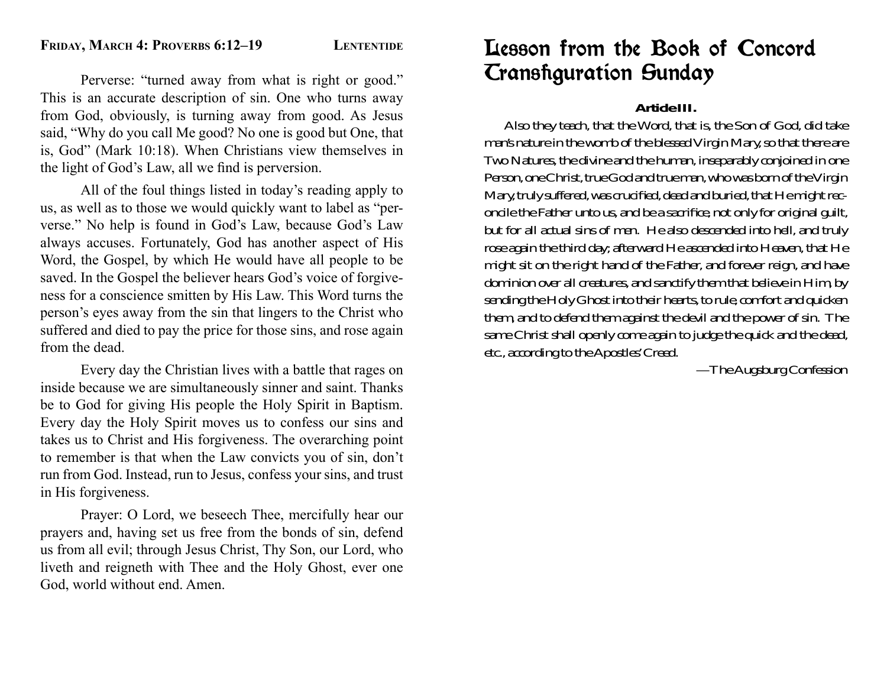Perverse: "turned away from what is right or good." This is an accurate description of sin. One who turns away from God, obviously, is turning away from good. As Jesus said, "Why do you call Me good? No one is good but One, that is, God" (Mark 10:18). When Christians view themselves in the light of God's Law, all we find is perversion.

 All of the foul things listed in today's reading apply to us, as well as to those we would quickly want to label as "perverse." No help is found in God's Law, because God's Law always accuses. Fortunately, God has another aspect of His Word, the Gospel, by which He would have all people to be saved. In the Gospel the believer hears God's voice of forgiveness for a conscience smitten by His Law. This Word turns the person's eyes away from the sin that lingers to the Christ who suffered and died to pay the price for those sins, and rose again from the dead.

 Every day the Christian lives with a battle that rages on inside because we are simultaneously sinner and saint. Thanks be to God for giving His people the Holy Spirit in Baptism. Every day the Holy Spirit moves us to confess our sins and takes us to Christ and His forgiveness. The overarching point to remember is that when the Law convicts you of sin, don't run from God. Instead, run to Jesus, confess your sins, and trust in His forgiveness.

 Prayer: O Lord, we beseech Thee, mercifully hear our prayers and, having set us free from the bonds of sin, defend us from all evil; through Jesus Christ, Thy Son, our Lord, who liveth and reigneth with Thee and the Holy Ghost, ever one God, world without end. Amen.

### Lesson from the Book of Concord **Cransfiguration Sunday**

### **Article III.**

 Also they teach, that the Word, that is, the Son of God, did take man's nature in the womb of the blessed Virgin Mary, so that there are Two Natures, the divine and the human, inseparably conjoined in one Person, one Christ, true God and true man, who was born of the Virgin Mary, truly suffered, was crucified, dead and buried, that He might reconcile the Father unto us, and be a sacrifice, not only for original guilt, but for all actual sins of men. He also descended into hell, and truly rose again the third day; afterward He ascended into Heaven, that He might sit on the right hand of the Father, and forever reign, and have dominion over all creatures, and sanctify them that believe in Him, by sending the Holy Ghost into their hearts, to rule, comfort and quicken them, and to defend them against the devil and the power of sin. The same Christ shall openly come again to judge the quick and the dead, etc., according to the Apostles' Creed.

—The Augsburg Confession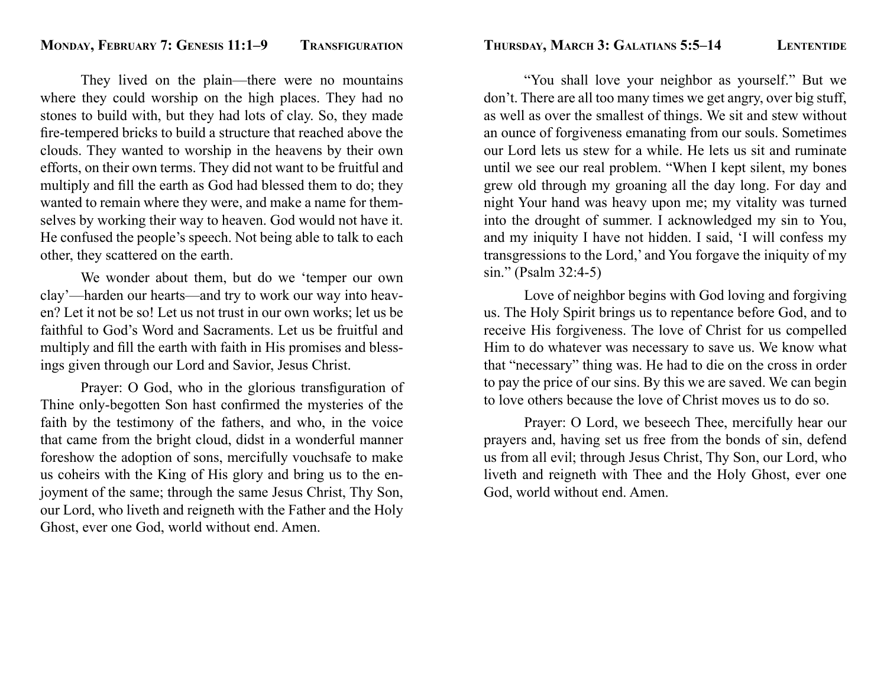They lived on the plain—there were no mountains where they could worship on the high places. They had no stones to build with, but they had lots of clay. So, they made fire-tempered bricks to build a structure that reached above the clouds. They wanted to worship in the heavens by their own efforts, on their own terms. They did not want to be fruitful and multiply and fill the earth as God had blessed them to do; they wanted to remain where they were, and make a name for themselves by working their way to heaven. God would not have it. He confused the people's speech. Not being able to talk to each other, they scattered on the earth.

 We wonder about them, but do we 'temper our own clay'—harden our hearts—and try to work our way into heaven? Let it not be so! Let us not trust in our own works; let us be faithful to God's Word and Sacraments. Let us be fruitful and multiply and fill the earth with faith in His promises and blessings given through our Lord and Savior, Jesus Christ.

Prayer: O God, who in the glorious transfiguration of Thine only-begotten Son hast confirmed the mysteries of the faith by the testimony of the fathers, and who, in the voice that came from the bright cloud, didst in a wonderful manner foreshow the adoption of sons, mercifully vouchsafe to make us coheirs with the King of His glory and bring us to the enjoyment of the same; through the same Jesus Christ, Thy Son, our Lord, who liveth and reigneth with the Father and the Holy Ghost, ever one God, world without end. Amen.

 "You shall love your neighbor as yourself." But we don't. There are all too many times we get angry, over big stuff, as well as over the smallest of things. We sit and stew without an ounce of forgiveness emanating from our souls. Sometimes our Lord lets us stew for a while. He lets us sit and ruminate until we see our real problem. "When I kept silent, my bones grew old through my groaning all the day long. For day and night Your hand was heavy upon me; my vitality was turned into the drought of summer. I acknowledged my sin to You, and my iniquity I have not hidden. I said, 'I will confess my transgressions to the Lord,' and You forgave the iniquity of my sin." (Psalm 32:4-5)

 Love of neighbor begins with God loving and forgiving us. The Holy Spirit brings us to repentance before God, and to receive His forgiveness. The love of Christ for us compelled Him to do whatever was necessary to save us. We know what that "necessary" thing was. He had to die on the cross in order to pay the price of our sins. By this we are saved. We can begin to love others because the love of Christ moves us to do so.

 Prayer: O Lord, we beseech Thee, mercifully hear our prayers and, having set us free from the bonds of sin, defend us from all evil; through Jesus Christ, Thy Son, our Lord, who liveth and reigneth with Thee and the Holy Ghost, ever one God, world without end. Amen.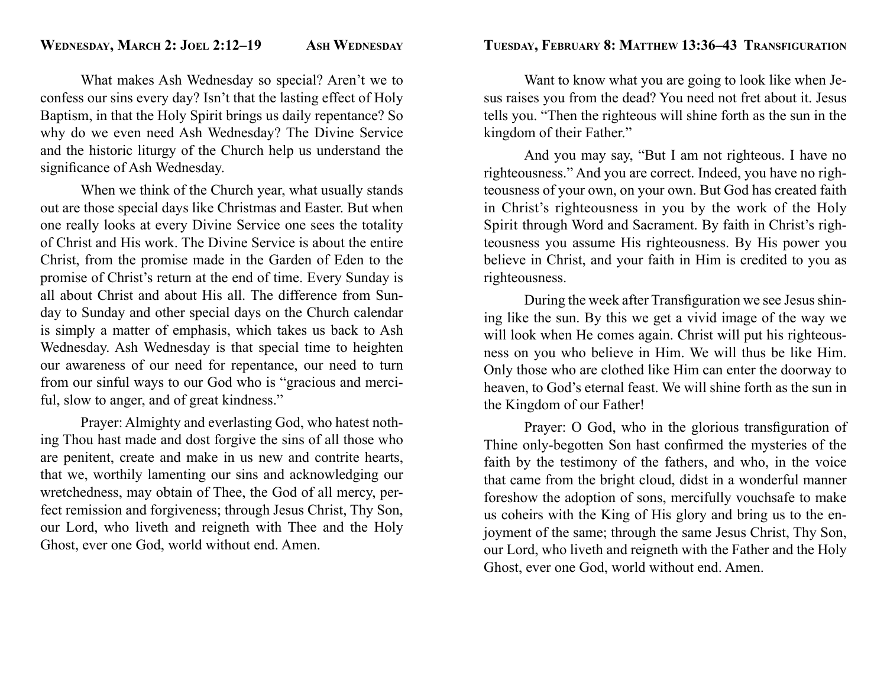What makes Ash Wednesday so special? Aren't we to confess our sins every day? Isn't that the lasting effect of Holy Baptism, in that the Holy Spirit brings us daily repentance? So why do we even need Ash Wednesday? The Divine Service and the historic liturgy of the Church help us understand the significance of Ash Wednesday.

 When we think of the Church year, what usually stands out are those special days like Christmas and Easter. But when one really looks at every Divine Service one sees the totality of Christ and His work. The Divine Service is about the entire Christ, from the promise made in the Garden of Eden to the promise of Christ's return at the end of time. Every Sunday is all about Christ and about His all. The difference from Sunday to Sunday and other special days on the Church calendar is simply a matter of emphasis, which takes us back to Ash Wednesday. Ash Wednesday is that special time to heighten our awareness of our need for repentance, our need to turn from our sinful ways to our God who is "gracious and merciful, slow to anger, and of great kindness."

 Prayer: Almighty and everlasting God, who hatest nothing Thou hast made and dost forgive the sins of all those who are penitent, create and make in us new and contrite hearts, that we, worthily lamenting our sins and acknowledging our wretchedness, may obtain of Thee, the God of all mercy, perfect remission and forgiveness; through Jesus Christ, Thy Son, our Lord, who liveth and reigneth with Thee and the Holy Ghost, ever one God, world without end. Amen.

 Want to know what you are going to look like when Jesus raises you from the dead? You need not fret about it. Jesus tells you. "Then the righteous will shine forth as the sun in the kingdom of their Father."

 And you may say, "But I am not righteous. I have no righteousness." And you are correct. Indeed, you have no righteousness of your own, on your own. But God has created faith in Christ's righteousness in you by the work of the Holy Spirit through Word and Sacrament. By faith in Christ's righteousness you assume His righteousness. By His power you believe in Christ, and your faith in Him is credited to you as righteousness.

During the week after Transfiguration we see Jesus shining like the sun. By this we get a vivid image of the way we will look when He comes again. Christ will put his righteousness on you who believe in Him. We will thus be like Him. Only those who are clothed like Him can enter the doorway to heaven, to God's eternal feast. We will shine forth as the sun in the Kingdom of our Father!

Prayer: O God, who in the glorious transfiguration of Thine only-begotten Son hast confirmed the mysteries of the faith by the testimony of the fathers, and who, in the voice that came from the bright cloud, didst in a wonderful manner foreshow the adoption of sons, mercifully vouchsafe to make us coheirs with the King of His glory and bring us to the enjoyment of the same; through the same Jesus Christ, Thy Son, our Lord, who liveth and reigneth with the Father and the Holy Ghost, ever one God, world without end. Amen.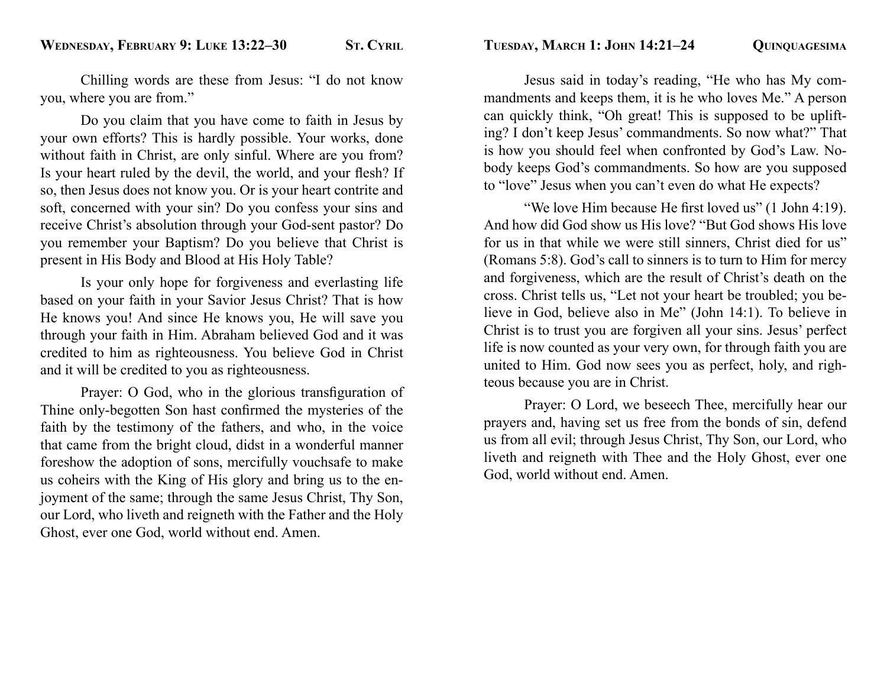Chilling words are these from Jesus: "I do not know you, where you are from."

 Do you claim that you have come to faith in Jesus by your own efforts? This is hardly possible. Your works, done without faith in Christ, are only sinful. Where are you from? Is your heart ruled by the devil, the world, and your flesh? If so, then Jesus does not know you. Or is your heart contrite and soft, concerned with your sin? Do you confess your sins and receive Christ's absolution through your God-sent pastor? Do you remember your Baptism? Do you believe that Christ is present in His Body and Blood at His Holy Table?

 Is your only hope for forgiveness and everlasting life based on your faith in your Savior Jesus Christ? That is how He knows you! And since He knows you, He will save you through your faith in Him. Abraham believed God and it was credited to him as righteousness. You believe God in Christ and it will be credited to you as righteousness.

Prayer: O God, who in the glorious transfiguration of Thine only-begotten Son hast confirmed the mysteries of the faith by the testimony of the fathers, and who, in the voice that came from the bright cloud, didst in a wonderful manner foreshow the adoption of sons, mercifully vouchsafe to make us coheirs with the King of His glory and bring us to the enjoyment of the same; through the same Jesus Christ, Thy Son, our Lord, who liveth and reigneth with the Father and the Holy Ghost, ever one God, world without end. Amen.

 Jesus said in today's reading, "He who has My commandments and keeps them, it is he who loves Me." A person can quickly think, "Oh great! This is supposed to be uplifting? I don't keep Jesus' commandments. So now what?" That is how you should feel when confronted by God's Law. Nobody keeps God's commandments. So how are you supposed to "love" Jesus when you can't even do what He expects?

"We love Him because He first loved us" (1 John 4:19). And how did God show us His love? "But God shows His love for us in that while we were still sinners, Christ died for us" (Romans 5:8). God's call to sinners is to turn to Him for mercy and forgiveness, which are the result of Christ's death on the cross. Christ tells us, "Let not your heart be troubled; you believe in God, believe also in Me" (John 14:1). To believe in Christ is to trust you are forgiven all your sins. Jesus' perfect life is now counted as your very own, for through faith you are united to Him. God now sees you as perfect, holy, and righteous because you are in Christ.

 Prayer: O Lord, we beseech Thee, mercifully hear our prayers and, having set us free from the bonds of sin, defend us from all evil; through Jesus Christ, Thy Son, our Lord, who liveth and reigneth with Thee and the Holy Ghost, ever one God, world without end. Amen.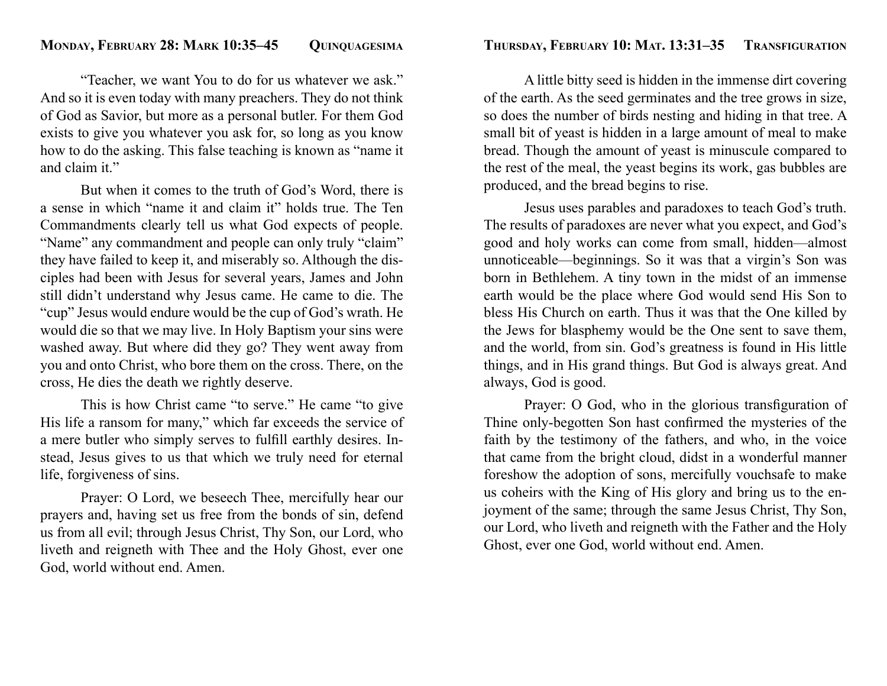"Teacher, we want You to do for us whatever we ask." And so it is even today with many preachers. They do not think of God as Savior, but more as a personal butler. For them God exists to give you whatever you ask for, so long as you know how to do the asking. This false teaching is known as "name it and claim it."

 But when it comes to the truth of God's Word, there is a sense in which "name it and claim it" holds true. The Ten Commandments clearly tell us what God expects of people. "Name" any commandment and people can only truly "claim" they have failed to keep it, and miserably so. Although the disciples had been with Jesus for several years, James and John still didn't understand why Jesus came. He came to die. The "cup" Jesus would endure would be the cup of God's wrath. He would die so that we may live. In Holy Baptism your sins were washed away. But where did they go? They went away from you and onto Christ, who bore them on the cross. There, on the cross, He dies the death we rightly deserve.

 This is how Christ came "to serve." He came "to give His life a ransom for many," which far exceeds the service of a mere butler who simply serves to fulfill earthly desires. Instead, Jesus gives to us that which we truly need for eternal life, forgiveness of sins.

 Prayer: O Lord, we beseech Thee, mercifully hear our prayers and, having set us free from the bonds of sin, defend us from all evil; through Jesus Christ, Thy Son, our Lord, who liveth and reigneth with Thee and the Holy Ghost, ever one God, world without end. Amen.

 A little bitty seed is hidden in the immense dirt covering of the earth. As the seed germinates and the tree grows in size, so does the number of birds nesting and hiding in that tree. A small bit of yeast is hidden in a large amount of meal to make bread. Though the amount of yeast is minuscule compared to the rest of the meal, the yeast begins its work, gas bubbles are produced, and the bread begins to rise.

 Jesus uses parables and paradoxes to teach God's truth. The results of paradoxes are never what you expect, and God's good and holy works can come from small, hidden—almost unnoticeable—beginnings. So it was that a virgin's Son was born in Bethlehem. A tiny town in the midst of an immense earth would be the place where God would send His Son to bless His Church on earth. Thus it was that the One killed by the Jews for blasphemy would be the One sent to save them, and the world, from sin. God's greatness is found in His little things, and in His grand things. But God is always great. And always, God is good.

Prayer: O God, who in the glorious transfiguration of Thine only-begotten Son hast confirmed the mysteries of the faith by the testimony of the fathers, and who, in the voice that came from the bright cloud, didst in a wonderful manner foreshow the adoption of sons, mercifully vouchsafe to make us coheirs with the King of His glory and bring us to the enjoyment of the same; through the same Jesus Christ, Thy Son, our Lord, who liveth and reigneth with the Father and the Holy Ghost, ever one God, world without end. Amen.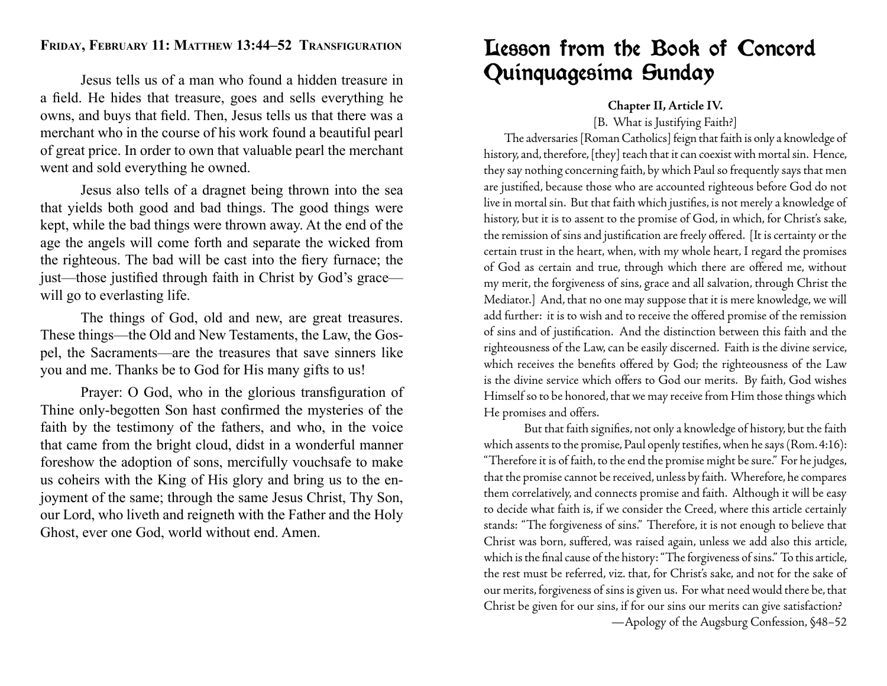### **FRIDAY, FEBRUARY 11: MATTHEW 13:44–52 TRANSFIGURATION**

 Jesus tells us of a man who found a hidden treasure in a field. He hides that treasure, goes and sells everything he owns, and buys that field. Then, Jesus tells us that there was a merchant who in the course of his work found a beautiful pearl of great price. In order to own that valuable pearl the merchant went and sold everything he owned.

 Jesus also tells of a dragnet being thrown into the sea that yields both good and bad things. The good things were kept, while the bad things were thrown away. At the end of the age the angels will come forth and separate the wicked from the righteous. The bad will be cast into the fiery furnace; the just—those justified through faith in Christ by God's grace will go to everlasting life.

 The things of God, old and new, are great treasures. These things—the Old and New Testaments, the Law, the Gospel, the Sacraments—are the treasures that save sinners like you and me. Thanks be to God for His many gifts to us!

Prayer: O God, who in the glorious transfiguration of Thine only-begotten Son hast confirmed the mysteries of the faith by the testimony of the fathers, and who, in the voice that came from the bright cloud, didst in a wonderful manner foreshow the adoption of sons, mercifully vouchsafe to make us coheirs with the King of His glory and bring us to the enjoyment of the same; through the same Jesus Christ, Thy Son, our Lord, who liveth and reigneth with the Father and the Holy Ghost, ever one God, world without end. Amen.

### Lesson from the Book of Concord Quinquagesima Sunday

### **Chapter II, Article IV.**

[B. What is Justifying Faith?]

 The adversaries [Roman Catholics] feign that faith is only a knowledge of history, and, therefore, [they] teach that it can coexist with mortal sin. Hence, they say nothing concerning faith, by which Paul so frequently says that men are justified, because those who are accounted righteous before God do not live in mortal sin. But that faith which justifies, is not merely a knowledge of history, but it is to assent to the promise of God, in which, for Christ's sake, the remission of sins and justification are freely offered. [It is certainty or the certain trust in the heart, when, with my whole heart, I regard the promises of God as certain and true, through which there are offered me, without my merit, the forgiveness of sins, grace and all salvation, through Christ the Mediator.] And, that no one may suppose that it is mere knowledge, we will add further: it is to wish and to receive the offered promise of the remission of sins and of justification. And the distinction between this faith and the righteousness of the Law, can be easily discerned. Faith is the divine service, which receives the benefits offered by God; the righteousness of the Law is the divine service which offers to God our merits. By faith, God wishes Himself so to be honored, that we may receive from Him those things which He promises and offers.

But that faith signifies, not only a knowledge of history, but the faith which assents to the promise, Paul openly testifies, when he says (Rom. 4:16): "Therefore it is of faith, to the end the promise might be sure." For he judges, that the promise cannot be received, unless by faith. Wherefore, he compares them correlatively, and connects promise and faith. Although it will be easy to decide what faith is, if we consider the Creed, where this article certainly stands: "The forgiveness of sins." Therefore, it is not enough to believe that Christ was born, suffered, was raised again, unless we add also this article, which is the final cause of the history: "The forgiveness of sins." To this article, the rest must be referred, viz. that, for Christ's sake, and not for the sake of our merits, forgiveness of sins is given us. For what need would there be, that Christ be given for our sins, if for our sins our merits can give satisfaction?

—Apology of the Augsburg Confession, §48–52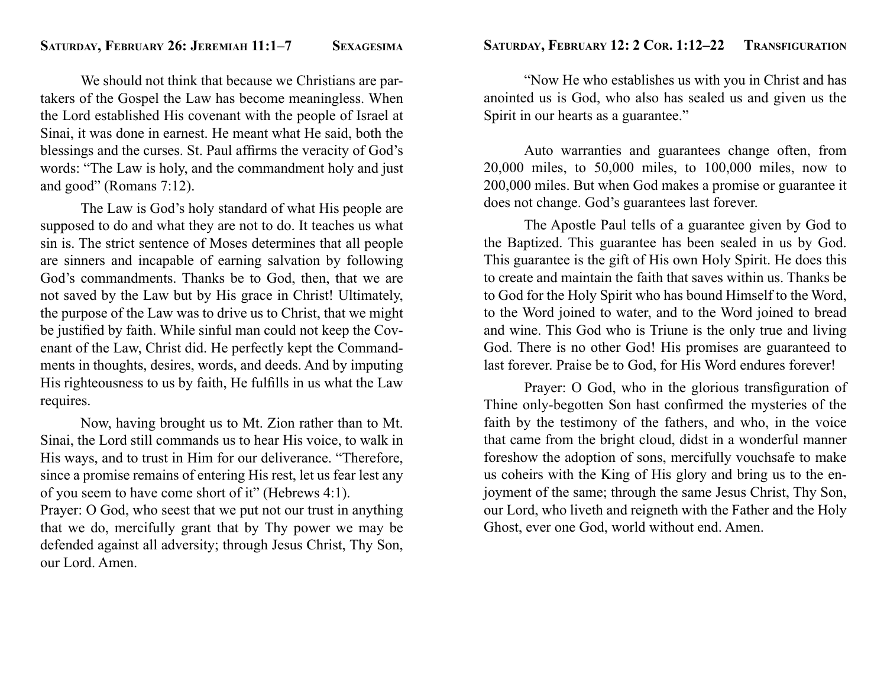We should not think that because we Christians are partakers of the Gospel the Law has become meaningless. When the Lord established His covenant with the people of Israel at Sinai, it was done in earnest. He meant what He said, both the blessings and the curses. St. Paul affirms the veracity of God's words: "The Law is holy, and the commandment holy and just and good" (Romans 7:12).

 The Law is God's holy standard of what His people are supposed to do and what they are not to do. It teaches us what sin is. The strict sentence of Moses determines that all people are sinners and incapable of earning salvation by following God's commandments. Thanks be to God, then, that we are not saved by the Law but by His grace in Christ! Ultimately, the purpose of the Law was to drive us to Christ, that we might be justified by faith. While sinful man could not keep the Covenant of the Law, Christ did. He perfectly kept the Commandments in thoughts, desires, words, and deeds. And by imputing His righteousness to us by faith, He fulfills in us what the Law requires.

 Now, having brought us to Mt. Zion rather than to Mt. Sinai, the Lord still commands us to hear His voice, to walk in His ways, and to trust in Him for our deliverance. "Therefore, since a promise remains of entering His rest, let us fear lest any of you seem to have come short of it" (Hebrews 4:1).

Prayer: O God, who seest that we put not our trust in anything that we do, mercifully grant that by Thy power we may be defended against all adversity; through Jesus Christ, Thy Son, our Lord. Amen.

 "Now He who establishes us with you in Christ and has anointed us is God, who also has sealed us and given us the Spirit in our hearts as a guarantee."

 Auto warranties and guarantees change often, from 20,000 miles, to 50,000 miles, to 100,000 miles, now to 200,000 miles. But when God makes a promise or guarantee it does not change. God's guarantees last forever.

 The Apostle Paul tells of a guarantee given by God to the Baptized. This guarantee has been sealed in us by God. This guarantee is the gift of His own Holy Spirit. He does this to create and maintain the faith that saves within us. Thanks be to God for the Holy Spirit who has bound Himself to the Word, to the Word joined to water, and to the Word joined to bread and wine. This God who is Triune is the only true and living God. There is no other God! His promises are guaranteed to last forever. Praise be to God, for His Word endures forever!

Prayer: O God, who in the glorious transfiguration of Thine only-begotten Son hast confirmed the mysteries of the faith by the testimony of the fathers, and who, in the voice that came from the bright cloud, didst in a wonderful manner foreshow the adoption of sons, mercifully vouchsafe to make us coheirs with the King of His glory and bring us to the enjoyment of the same; through the same Jesus Christ, Thy Son, our Lord, who liveth and reigneth with the Father and the Holy Ghost, ever one God, world without end. Amen.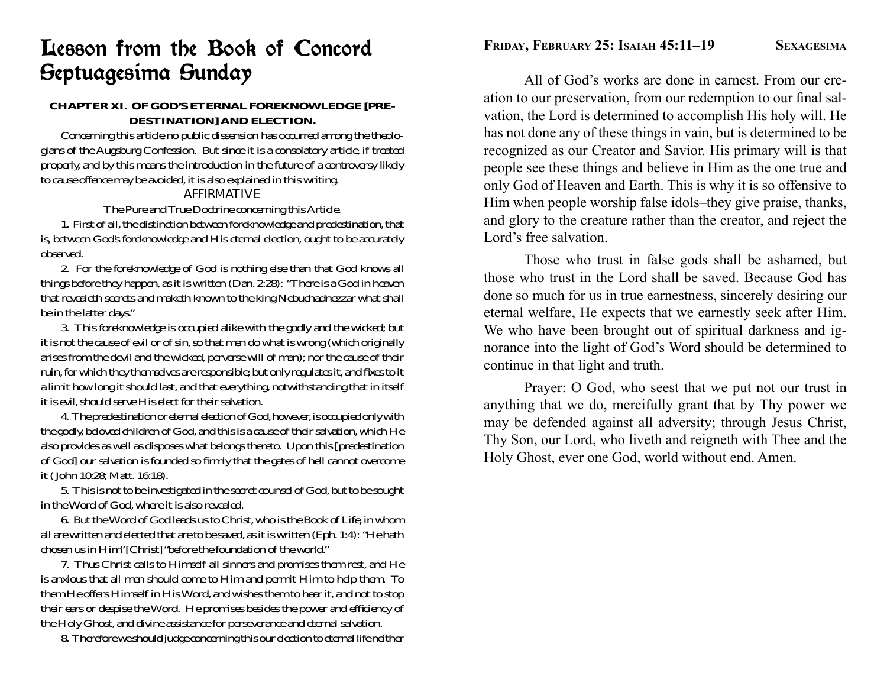## Lesson from the Book of Concord Septuagesima Sunday

### **CHAPTER XI. OF GOD'S ETERNAL FOREKNOWLEDGE [PRE-DESTINATION] AND ELECTION.**

 Concerning this article no public dissension has occurred among the theologians of the Augsburg Confession. But since it is a consolatory article, if treated properly, and by this means the introduction in the future of a controversy likely to cause offence may be avoided, it is also explained in this writing.

### AFFIRMATIVE

The Pure and True Doctrine concerning this Article.

 1. First of all, the distinction between foreknowledge and predestination, that is, between God's foreknowledge and His eternal election, ought to be accurately observed.

 2. For the foreknowledge of God is nothing else than that God knows all things before they happen, as it is written (Dan. 2:28): "There is a God in heaven that revealeth secrets and maketh known to the king Nebuchadnezzar what shall be in the latter days."

 3. This foreknowledge is occupied alike with the godly and the wicked; but it is not the cause of evil or of sin, so that men do what is wrong (which originally arises from the devil and the wicked, perverse will of man); nor the cause of their ruin, for which they themselves are responsible; but only regulates it, and fixes to it a limit how long it should last, and that everything, notwithstanding that in itself it is evil, should serve His elect for their salvation.

 4. The predestination or eternal election of God, however, is occupied only with the godly, beloved children of God, and this is a cause of their salvation, which He also provides as well as disposes what belongs thereto. Upon this [predestination of God] our salvation is founded so firmly that the gates of hell cannot overcome it ( John 10:28; Matt. 16:18).

 5. This is not to be investigated in the secret counsel of God, but to be sought in the Word of God, where it is also revealed.

 6. But the Word of God leads us to Christ, who is the Book of Life, in whom all are written and elected that are to be saved, as it is written (Eph. 1:4): "He hath chosen us in Him" [Christ] "before the foundation of the world."

 7. Thus Christ calls to Himself all sinners and promises them rest, and He is anxious that all men should come to Him and permit Him to help them. To them He offers Himself in His Word, and wishes them to hear it, and not to stop their ears or despise the Word. He promises besides the power and efficiency of the Holy Ghost, and divine assistance for perseverance and eternal salvation.

8. Therefore we should judge concerning this our election to eternal life neither

 All of God's works are done in earnest. From our creation to our preservation, from our redemption to our final salvation, the Lord is determined to accomplish His holy will. He has not done any of these things in vain, but is determined to be recognized as our Creator and Savior. His primary will is that people see these things and believe in Him as the one true and only God of Heaven and Earth. This is why it is so offensive to Him when people worship false idols–they give praise, thanks, and glory to the creature rather than the creator, and reject the Lord's free salvation.

 Those who trust in false gods shall be ashamed, but those who trust in the Lord shall be saved. Because God has done so much for us in true earnestness, sincerely desiring our eternal welfare, He expects that we earnestly seek after Him. We who have been brought out of spiritual darkness and ignorance into the light of God's Word should be determined to continue in that light and truth.

 Prayer: O God, who seest that we put not our trust in anything that we do, mercifully grant that by Thy power we may be defended against all adversity; through Jesus Christ, Thy Son, our Lord, who liveth and reigneth with Thee and the Holy Ghost, ever one God, world without end. Amen.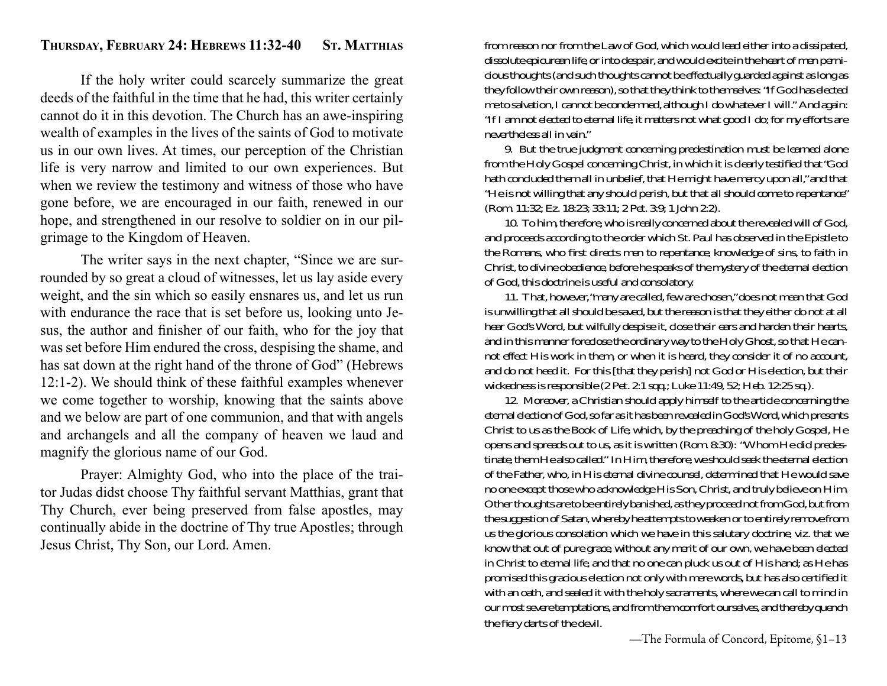#### **THURSDAY, FEBRUARY 24: HEBREWS 11:32-40 ST. MATTHIAS**

 If the holy writer could scarcely summarize the great deeds of the faithful in the time that he had, this writer certainly cannot do it in this devotion. The Church has an awe-inspiring wealth of examples in the lives of the saints of God to motivate us in our own lives. At times, our perception of the Christian life is very narrow and limited to our own experiences. But when we review the testimony and witness of those who have gone before, we are encouraged in our faith, renewed in our hope, and strengthened in our resolve to soldier on in our pilgrimage to the Kingdom of Heaven.

 The writer says in the next chapter, "Since we are surrounded by so great a cloud of witnesses, let us lay aside every weight, and the sin which so easily ensnares us, and let us run with endurance the race that is set before us, looking unto Jesus, the author and finisher of our faith, who for the joy that was set before Him endured the cross, despising the shame, and has sat down at the right hand of the throne of God" (Hebrews 12:1-2). We should think of these faithful examples whenever we come together to worship, knowing that the saints above and we below are part of one communion, and that with angels and archangels and all the company of heaven we laud and magnify the glorious name of our God.

 Prayer: Almighty God, who into the place of the traitor Judas didst choose Thy faithful servant Matthias, grant that Thy Church, ever being preserved from false apostles, may continually abide in the doctrine of Thy true Apostles; through Jesus Christ, Thy Son, our Lord. Amen.

from reason nor from the Law of God, which would lead either into a dissipated, dissolute epicurean life, or into despair, and would excite in the heart of men pernicious thoughts (and such thoughts cannot be effectually guarded against as long as they follow their own reason), so that they think to themselves: "If God has elected me to salvation, I cannot be condemned, although I do whatever I will." And again: "If I am not elected to eternal life, it matters not what good I do; for my efforts are nevertheless all in vain."

 9. But the true judgment concerning predestination must be learned alone from the Holy Gospel concerning Christ, in which it is clearly testified that "God hath concluded them all in unbelief, that He might have mercy upon all," and that "He is not willing that any should perish, but that all should come to repentance" (Rom. 11:32; Ez. 18:23; 33:11; 2 Pet. 3:9; 1 John 2:2).

 10. To him, therefore, who is really concerned about the revealed will of God, and proceeds according to the order which St. Paul has observed in the Epistle to the Romans, who first directs men to repentance, knowledge of sins, to faith in Christ, to divine obedience, before he speaks of the mystery of the eternal election of God, this doctrine is useful and consolatory.

 11. That, however, "many are called, few are chosen," does not mean that God is unwilling that all should be saved, but the reason is that they either do not at all hear God's Word, but wilfully despise it, close their ears and harden their hearts, and in this manner foreclose the ordinary way to the Holy Ghost, so that He cannot effect His work in them, or when it is heard, they consider it of no account, and do not heed it. For this [that they perish] not God or His election, but their wickedness is responsible (2 Pet. 2:1 sqq.; Luke 11:49, 52; Heb. 12:25 sq.).

 12. Moreover, a Christian should apply himself to the article concerning the eternal election of God, so far as it has been revealed in God's Word, which presents Christ to us as the Book of Life, which, by the preaching of the holy Gospel, He opens and spreads out to us, as it is written (Rom. 8:30): "Whom He did predestinate, them He also called." In Him, therefore, we should seek the eternal election of the Father, who, in His eternal divine counsel, determined that He would save no one except those who acknowledge His Son, Christ, and truly believe on Him. Other thoughts are to be entirely banished, as they proceed not from God, but from the suggestion of Satan, whereby he attempts to weaken or to entirely remove from us the glorious consolation which we have in this salutary doctrine, viz. that we know that out of pure grace, without any merit of our own, we have been elected in Christ to eternal life, and that no one can pluck us out of His hand; as He has promised this gracious election not only with mere words, but has also certified it with an oath, and sealed it with the holy sacraments, where we can call to mind in our most severe temptations, and from them comfort ourselves, and thereby quench the fiery darts of the devil.

—The Formula of Concord, Epitome, §1–13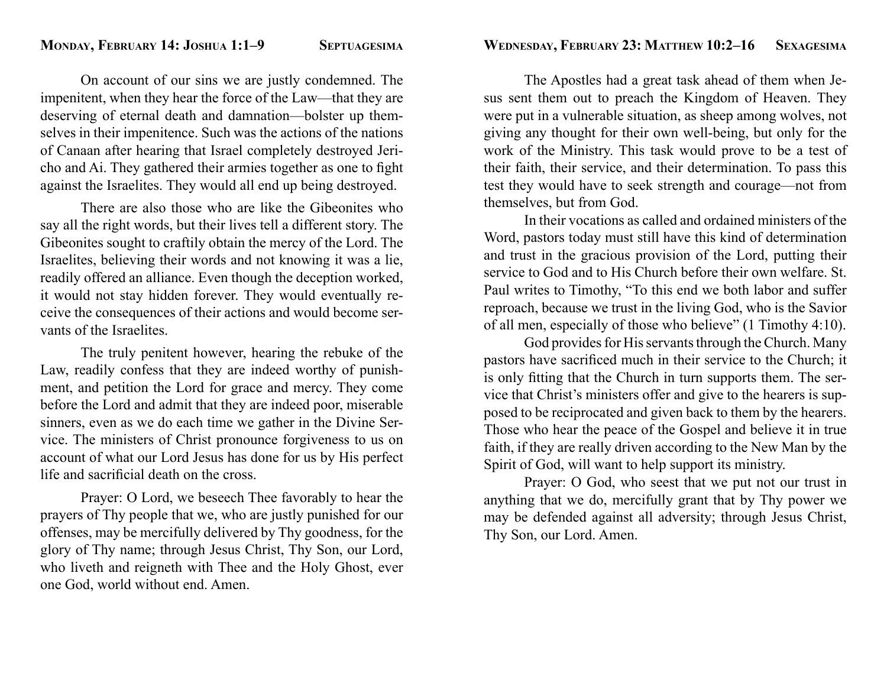### **WEDNESDAY, FEBRUARY 23: MATTHEW 10:2–16 SEXAGESIMA**

 On account of our sins we are justly condemned. The impenitent, when they hear the force of the Law—that they are deserving of eternal death and damnation—bolster up themselves in their impenitence. Such was the actions of the nations of Canaan after hearing that Israel completely destroyed Jericho and Ai. They gathered their armies together as one to fight against the Israelites. They would all end up being destroyed.

 There are also those who are like the Gibeonites who say all the right words, but their lives tell a different story. The Gibeonites sought to craftily obtain the mercy of the Lord. The Israelites, believing their words and not knowing it was a lie, readily offered an alliance. Even though the deception worked, it would not stay hidden forever. They would eventually receive the consequences of their actions and would become servants of the Israelites.

 The truly penitent however, hearing the rebuke of the Law, readily confess that they are indeed worthy of punishment, and petition the Lord for grace and mercy. They come before the Lord and admit that they are indeed poor, miserable sinners, even as we do each time we gather in the Divine Service. The ministers of Christ pronounce forgiveness to us on account of what our Lord Jesus has done for us by His perfect life and sacrificial death on the cross.

 Prayer: O Lord, we beseech Thee favorably to hear the prayers of Thy people that we, who are justly punished for our offenses, may be mercifully delivered by Thy goodness, for the glory of Thy name; through Jesus Christ, Thy Son, our Lord, who liveth and reigneth with Thee and the Holy Ghost, ever one God, world without end. Amen.

 The Apostles had a great task ahead of them when Jesus sent them out to preach the Kingdom of Heaven. They were put in a vulnerable situation, as sheep among wolves, not giving any thought for their own well-being, but only for the work of the Ministry. This task would prove to be a test of their faith, their service, and their determination. To pass this test they would have to seek strength and courage—not from themselves, but from God.

 In their vocations as called and ordained ministers of the Word, pastors today must still have this kind of determination and trust in the gracious provision of the Lord, putting their service to God and to His Church before their own welfare. St. Paul writes to Timothy, "To this end we both labor and suffer reproach, because we trust in the living God, who is the Savior of all men, especially of those who believe" (1 Timothy 4:10).

 God provides for His servants through the Church. Many pastors have sacrificed much in their service to the Church; it is only fitting that the Church in turn supports them. The service that Christ's ministers offer and give to the hearers is supposed to be reciprocated and given back to them by the hearers. Those who hear the peace of the Gospel and believe it in true faith, if they are really driven according to the New Man by the Spirit of God, will want to help support its ministry.

 Prayer: O God, who seest that we put not our trust in anything that we do, mercifully grant that by Thy power we may be defended against all adversity; through Jesus Christ, Thy Son, our Lord. Amen.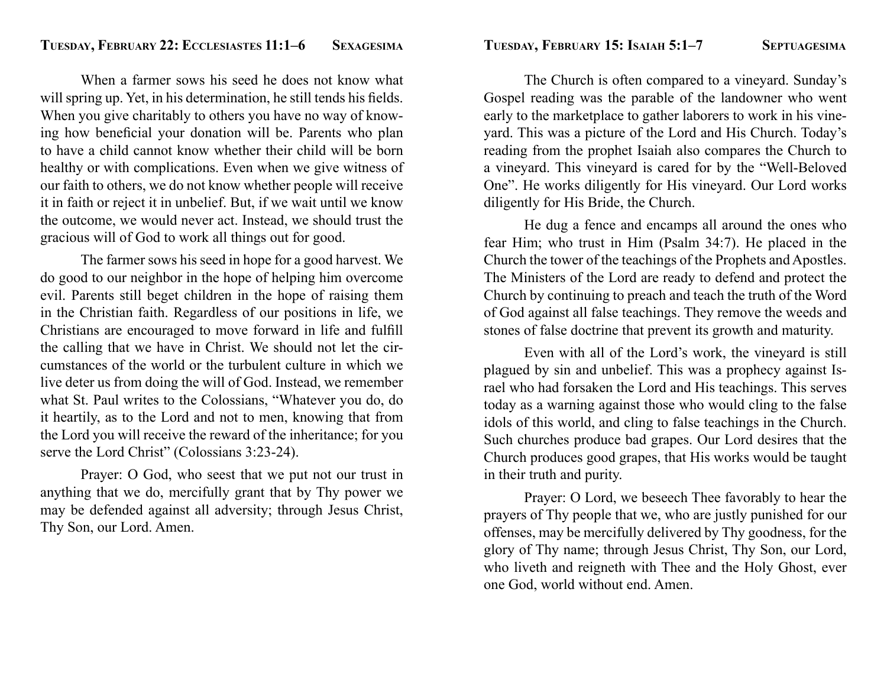When a farmer sows his seed he does not know what will spring up. Yet, in his determination, he still tends his fields. When you give charitably to others you have no way of knowing how beneficial your donation will be. Parents who plan to have a child cannot know whether their child will be born healthy or with complications. Even when we give witness of our faith to others, we do not know whether people will receive it in faith or reject it in unbelief. But, if we wait until we know the outcome, we would never act. Instead, we should trust the gracious will of God to work all things out for good.

 The farmer sows his seed in hope for a good harvest. We do good to our neighbor in the hope of helping him overcome evil. Parents still beget children in the hope of raising them in the Christian faith. Regardless of our positions in life, we Christians are encouraged to move forward in life and fulfill the calling that we have in Christ. We should not let the circumstances of the world or the turbulent culture in which we live deter us from doing the will of God. Instead, we remember what St. Paul writes to the Colossians, "Whatever you do, do it heartily, as to the Lord and not to men, knowing that from the Lord you will receive the reward of the inheritance; for you serve the Lord Christ" (Colossians 3:23-24).

 Prayer: O God, who seest that we put not our trust in anything that we do, mercifully grant that by Thy power we may be defended against all adversity; through Jesus Christ, Thy Son, our Lord. Amen.

 The Church is often compared to a vineyard. Sunday's Gospel reading was the parable of the landowner who went early to the marketplace to gather laborers to work in his vineyard. This was a picture of the Lord and His Church. Today's reading from the prophet Isaiah also compares the Church to a vineyard. This vineyard is cared for by the "Well-Beloved One". He works diligently for His vineyard. Our Lord works diligently for His Bride, the Church.

 He dug a fence and encamps all around the ones who fear Him; who trust in Him (Psalm 34:7). He placed in the Church the tower of the teachings of the Prophets and Apostles. The Ministers of the Lord are ready to defend and protect the Church by continuing to preach and teach the truth of the Word of God against all false teachings. They remove the weeds and stones of false doctrine that prevent its growth and maturity.

 Even with all of the Lord's work, the vineyard is still plagued by sin and unbelief. This was a prophecy against Israel who had forsaken the Lord and His teachings. This serves today as a warning against those who would cling to the false idols of this world, and cling to false teachings in the Church. Such churches produce bad grapes. Our Lord desires that the Church produces good grapes, that His works would be taught in their truth and purity.

 Prayer: O Lord, we beseech Thee favorably to hear the prayers of Thy people that we, who are justly punished for our offenses, may be mercifully delivered by Thy goodness, for the glory of Thy name; through Jesus Christ, Thy Son, our Lord, who liveth and reigneth with Thee and the Holy Ghost, ever one God, world without end. Amen.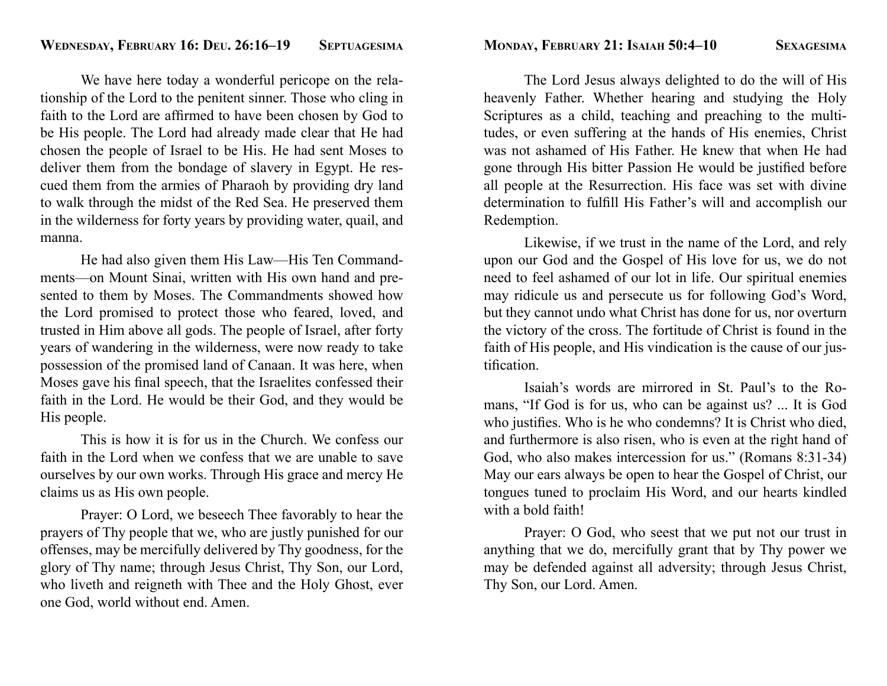We have here today a wonderful pericope on the relationship of the Lord to the penitent sinner. Those who cling in faith to the Lord are affirmed to have been chosen by God to be His people. The Lord had already made clear that He had chosen the people of Israel to be His. He had sent Moses to deliver them from the bondage of slavery in Egypt. He rescued them from the armies of Pharaoh by providing dry land to walk through the midst of the Red Sea. He preserved them in the wilderness for forty years by providing water, quail, and manna.

 He had also given them His Law—His Ten Commandments—on Mount Sinai, written with His own hand and presented to them by Moses. The Commandments showed how the Lord promised to protect those who feared, loved, and trusted in Him above all gods. The people of Israel, after forty years of wandering in the wilderness, were now ready to take possession of the promised land of Canaan. It was here, when Moses gave his final speech, that the Israelites confessed their faith in the Lord. He would be their God, and they would be His people.

 This is how it is for us in the Church. We confess our faith in the Lord when we confess that we are unable to save ourselves by our own works. Through His grace and mercy He claims us as His own people.

 Prayer: O Lord, we beseech Thee favorably to hear the prayers of Thy people that we, who are justly punished for our offenses, may be mercifully delivered by Thy goodness, for the glory of Thy name; through Jesus Christ, Thy Son, our Lord, who liveth and reigneth with Thee and the Holy Ghost, ever one God, world without end. Amen.

**MONDAY, FEBRUARY 21: ISAIAH 50:4–10 SEXAGESIMA**

 The Lord Jesus always delighted to do the will of His heavenly Father. Whether hearing and studying the Holy Scriptures as a child, teaching and preaching to the multitudes, or even suffering at the hands of His enemies, Christ was not ashamed of His Father. He knew that when He had gone through His bitter Passion He would be justified before all people at the Resurrection. His face was set with divine determination to fulfill His Father's will and accomplish our Redemption.

 Likewise, if we trust in the name of the Lord, and rely upon our God and the Gospel of His love for us, we do not need to feel ashamed of our lot in life. Our spiritual enemies may ridicule us and persecute us for following God's Word, but they cannot undo what Christ has done for us, nor overturn the victory of the cross. The fortitude of Christ is found in the faith of His people, and His vindication is the cause of our justification.

 Isaiah's words are mirrored in St. Paul's to the Romans, "If God is for us, who can be against us? ... It is God who justifies. Who is he who condemns? It is Christ who died, and furthermore is also risen, who is even at the right hand of God, who also makes intercession for us." (Romans 8:31-34) May our ears always be open to hear the Gospel of Christ, our tongues tuned to proclaim His Word, and our hearts kindled with a bold faith!

 Prayer: O God, who seest that we put not our trust in anything that we do, mercifully grant that by Thy power we may be defended against all adversity; through Jesus Christ, Thy Son, our Lord. Amen.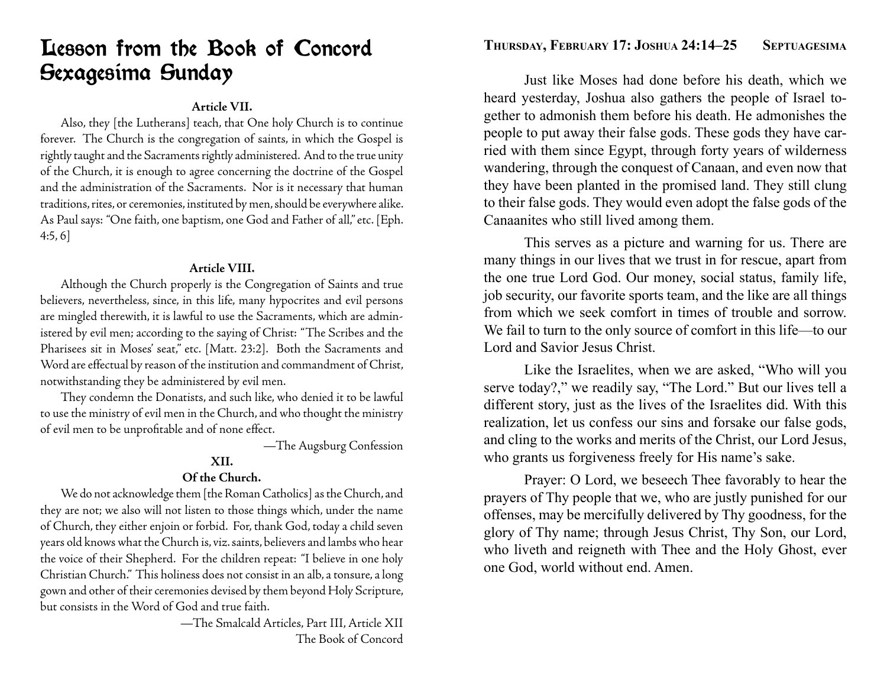### Lesson from the Book of Concord Sexagesima Sunday

### **Article VII.**

 Also, they [the Lutherans] teach, that One holy Church is to continue forever. The Church is the congregation of saints, in which the Gospel is rightly taught and the Sacraments rightly administered. And to the true unity of the Church, it is enough to agree concerning the doctrine of the Gospel and the administration of the Sacraments. Nor is it necessary that human traditions, rites, or ceremonies, instituted by men, should be everywhere alike. As Paul says: "One faith, one baptism, one God and Father of all," etc. [Eph. 4:5, 6]

### **Article VIII.**

 Although the Church properly is the Congregation of Saints and true believers, nevertheless, since, in this life, many hypocrites and evil persons are mingled therewith, it is lawful to use the Sacraments, which are administered by evil men; according to the saying of Christ: "The Scribes and the Pharisees sit in Moses' seat," etc. [Matt. 23:2]. Both the Sacraments and Word are effectual by reason of the institution and commandment of Christ, notwithstanding they be administered by evil men.

 They condemn the Donatists, and such like, who denied it to be lawful to use the ministry of evil men in the Church, and who thought the ministry of evil men to be unprofitable and of none effect.

—The Augsburg Confession

### **XII.**

### **Of the Church.**

 We do not acknowledge them [the Roman Catholics] as the Church, and they are not; we also will not listen to those things which, under the name of Church, they either enjoin or forbid. For, thank God, today a child seven years old knows what the Church is, viz. saints, believers and lambs who hear the voice of their Shepherd. For the children repeat: "I believe in one holy Christian Church." This holiness does not consist in an alb, a tonsure, a long gown and other of their ceremonies devised by them beyond Holy Scripture, but consists in the Word of God and true faith.

> —The Smalcald Articles, Part III, Article XII The Book of Concord

 Just like Moses had done before his death, which we heard yesterday, Joshua also gathers the people of Israel together to admonish them before his death. He admonishes the people to put away their false gods. These gods they have carried with them since Egypt, through forty years of wilderness wandering, through the conquest of Canaan, and even now that they have been planted in the promised land. They still clung to their false gods. They would even adopt the false gods of the Canaanites who still lived among them.

 This serves as a picture and warning for us. There are many things in our lives that we trust in for rescue, apart from the one true Lord God. Our money, social status, family life, job security, our favorite sports team, and the like are all things from which we seek comfort in times of trouble and sorrow. We fail to turn to the only source of comfort in this life—to our Lord and Savior Jesus Christ.

 Like the Israelites, when we are asked, "Who will you serve today?," we readily say, "The Lord." But our lives tell a different story, just as the lives of the Israelites did. With this realization, let us confess our sins and forsake our false gods, and cling to the works and merits of the Christ, our Lord Jesus, who grants us forgiveness freely for His name's sake.

 Prayer: O Lord, we beseech Thee favorably to hear the prayers of Thy people that we, who are justly punished for our offenses, may be mercifully delivered by Thy goodness, for the glory of Thy name; through Jesus Christ, Thy Son, our Lord, who liveth and reigneth with Thee and the Holy Ghost, ever one God, world without end. Amen.